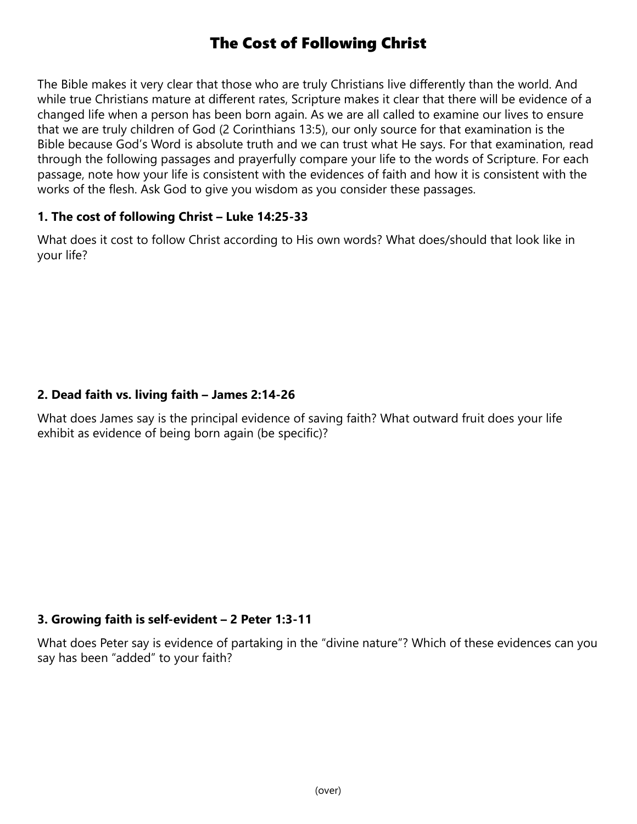# The Cost of Following Christ

The Bible makes it very clear that those who are truly Christians live differently than the world. And while true Christians mature at different rates, Scripture makes it clear that there will be evidence of a changed life when a person has been born again. As we are all called to examine our lives to ensure that we are truly children of God (2 Corinthians 13:5), our only source for that examination is the Bible because God's Word is absolute truth and we can trust what He says. For that examination, read through the following passages and prayerfully compare your life to the words of Scripture. For each passage, note how your life is consistent with the evidences of faith and how it is consistent with the works of the flesh. Ask God to give you wisdom as you consider these passages.

## 1. The cost of following Christ – Luke 14:25-33

What does it cost to follow Christ according to His own words? What does/should that look like in your life?

## 2. Dead faith vs. living faith – James 2:14-26

What does James say is the principal evidence of saving faith? What outward fruit does your life exhibit as evidence of being born again (be specific)?

# 3. Growing faith is self-evident – 2 Peter 1:3-11

What does Peter say is evidence of partaking in the "divine nature"? Which of these evidences can you say has been "added" to your faith?